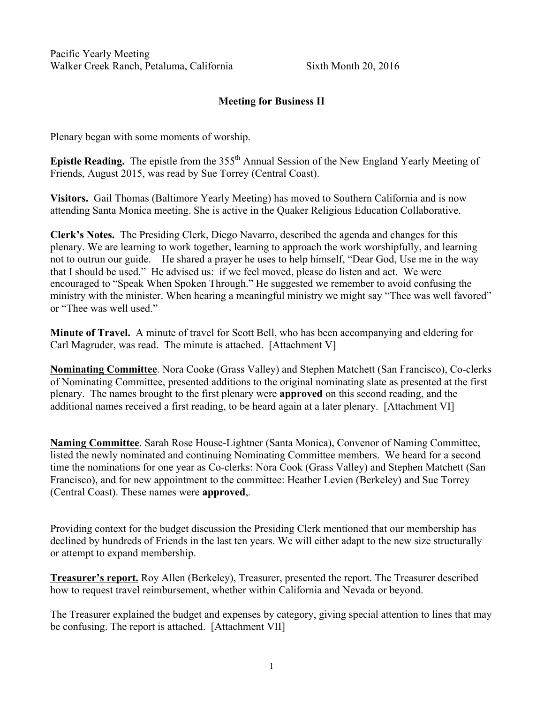Pacific Yearly Meeting Walker Creek Ranch, Petaluma, California Sixth Month 20, 2016

# Meeting for Business II

Plenary began with some moments of worship.

Epistle Reading. The epistle from the  $355<sup>th</sup>$  Annual Session of the New England Yearly Meeting of Friends, August 2015, was read by Sue Torrey (Central Coast).

Visitors. Gail Thomas (Baltimore Yearly Meeting) has moved to Southern California and is now attending Santa Monica meeting. She is active in the Quaker Religious Education Collaborative.

Clerk's Notes. The Presiding Clerk, Diego Navarro, described the agenda and changes for this plenary. We are learning to work together, learning to approach the work worshipfully, and learning not to outrun our guide. He shared a prayer he uses to help himself, "Dear God, Use me in the way that I should be used." He advised us: if we feel moved, please do listen and act. We were encouraged to "Speak When Spoken Through." He suggested we remember to avoid confusing the ministry with the minister. When hearing a meaningful ministry we might say "Thee was well favored" or "Thee was well used."

Minute of Travel. A minute of travel for Scott Bell, who has been accompanying and eldering for Carl Magruder, was read. The minute is attached. [Attachment V]

Nominating Committee. Nora Cooke (Grass Valley) and Stephen Matchett (San Francisco), Co-clerks of Nominating Committee, presented additions to the original nominating slate as presented at the first plenary. The names brought to the first plenary were approved on this second reading, and the additional names received a first reading, to be heard again at a later plenary. [Attachment VI]

Naming Committee. Sarah Rose House-Lightner (Santa Monica), Convenor of Naming Committee, listed the newly nominated and continuing Nominating Committee members. We heard for a second time the nominations for one year as Co-clerks: Nora Cook (Grass Valley) and Stephen Matchett (San Francisco), and for new appointment to the committee: Heather Levien (Berkeley) and Sue Torrey (Central Coast). These names were approved,*.*

Providing context for the budget discussion the Presiding Clerk mentioned that our membership has declined by hundreds of Friends in the last ten years. We will either adapt to the new size structurally or attempt to expand membership.

Treasurer's report. Roy Allen (Berkeley), Treasurer, presented the report. The Treasurer described how to request travel reimbursement, whether within California and Nevada or beyond.

The Treasurer explained the budget and expenses by category, giving special attention to lines that may be confusing. The report is attached. [Attachment VII]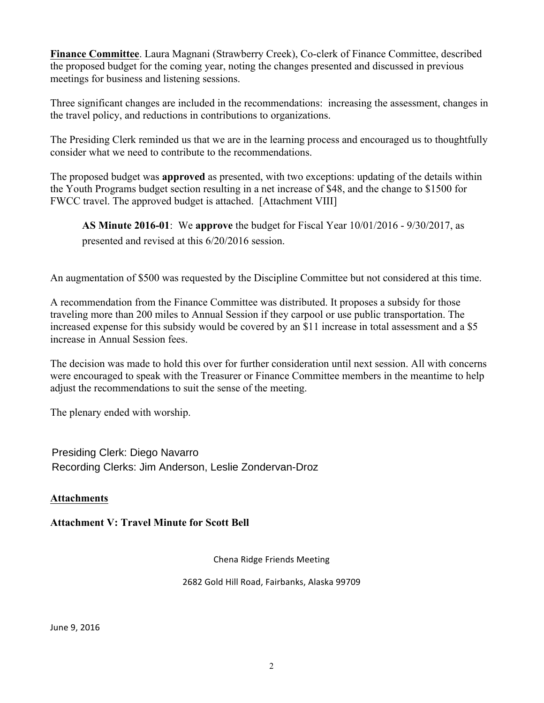Finance Committee. Laura Magnani (Strawberry Creek), Co-clerk of Finance Committee, described the proposed budget for the coming year, noting the changes presented and discussed in previous meetings for business and listening sessions.

Three significant changes are included in the recommendations: increasing the assessment, changes in the travel policy, and reductions in contributions to organizations.

The Presiding Clerk reminded us that we are in the learning process and encouraged us to thoughtfully consider what we need to contribute to the recommendations.

The proposed budget was approved as presented, with two exceptions: updating of the details within the Youth Programs budget section resulting in a net increase of \$48, and the change to \$1500 for FWCC travel. The approved budget is attached. [Attachment VIII]

AS Minute 2016-01: We approve the budget for Fiscal Year 10/01/2016 - 9/30/2017, as presented and revised at this 6/20/2016 session.

An augmentation of \$500 was requested by the Discipline Committee but not considered at this time.

A recommendation from the Finance Committee was distributed. It proposes a subsidy for those traveling more than 200 miles to Annual Session if they carpool or use public transportation. The increased expense for this subsidy would be covered by an \$11 increase in total assessment and a \$5 increase in Annual Session fees.

The decision was made to hold this over for further consideration until next session. All with concerns were encouraged to speak with the Treasurer or Finance Committee members in the meantime to help adjust the recommendations to suit the sense of the meeting.

The plenary ended with worship.

Presiding Clerk: Diego Navarro Recording Clerks: Jim Anderson, Leslie Zondervan-Droz

# Attachments

Attachment V: Travel Minute for Scott Bell

Chena Ridge Friends Meeting

2682 Gold Hill Road, Fairbanks, Alaska 99709

June 9, 2016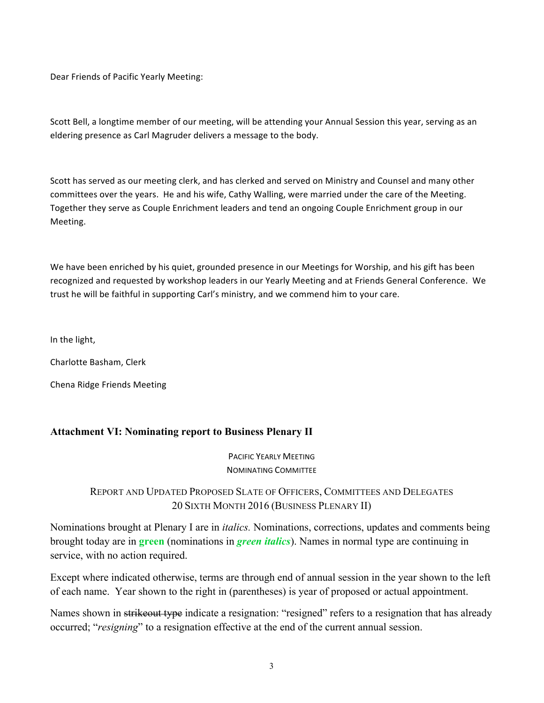Dear Friends of Pacific Yearly Meeting:

Scott Bell, a longtime member of our meeting, will be attending your Annual Session this year, serving as an eldering presence as Carl Magruder delivers a message to the body.

Scott has served as our meeting clerk, and has clerked and served on Ministry and Counsel and many other committees over the years. He and his wife, Cathy Walling, were married under the care of the Meeting. Together they serve as Couple Enrichment leaders and tend an ongoing Couple Enrichment group in our Meeting.

We have been enriched by his quiet, grounded presence in our Meetings for Worship, and his gift has been recognized and requested by workshop leaders in our Yearly Meeting and at Friends General Conference. We trust he will be faithful in supporting Carl's ministry, and we commend him to your care.

In the light,

Charlotte Basham, Clerk

Chena Ridge Friends Meeting

## Attachment VI: Nominating report to Business Plenary II

PACIFIC YEARLY MEETING **NOMINATING COMMITTEE** 

# REPORT AND UPDATED PROPOSED SLATE OF OFFICERS, COMMITTEES AND DELEGATES 20 SIXTH MONTH 2016 (BUSINESS PLENARY II)

Nominations brought at Plenary I are in *italics.* Nominations, corrections, updates and comments being brought today are in green (nominations in *green italics*). Names in normal type are continuing in service, with no action required.

Except where indicated otherwise, terms are through end of annual session in the year shown to the left of each name. Year shown to the right in (parentheses) is year of proposed or actual appointment.

Names shown in strike out type indicate a resignation: "resigned" refers to a resignation that has already occurred; "*resigning*" to a resignation effective at the end of the current annual session.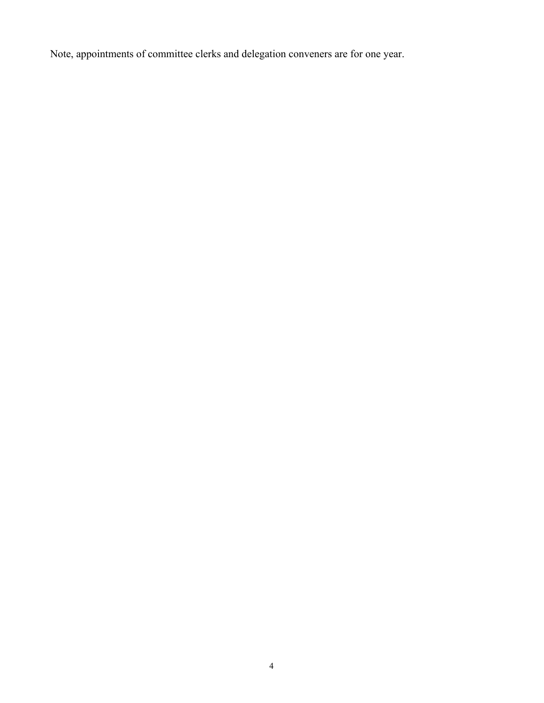Note, appointments of committee clerks and delegation conveners are for one year.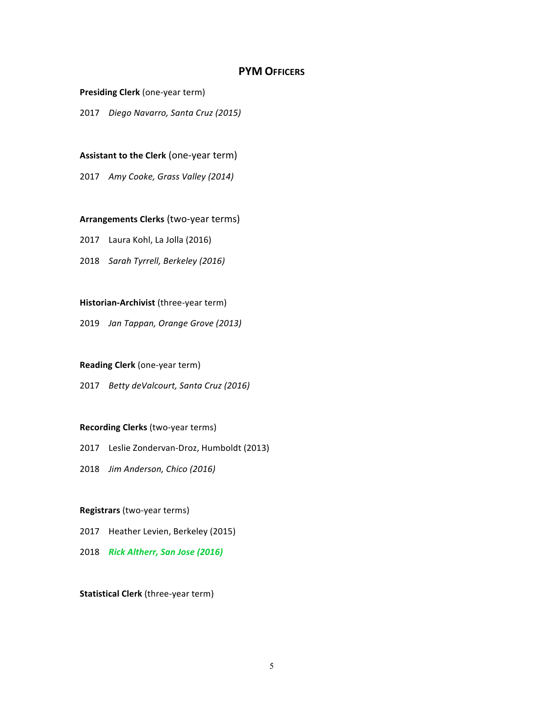## **PYM OFFICERS**

**Presiding Clerk** (one-year term)

2017 *Diego Navarro, Santa Cruz (2015)*

### **Assistant to the Clerk** (one-year term)

2017 Amy Cooke, Grass Valley (2014)

## **Arrangements Clerks** (two-year terms)

2017 Laura Kohl, La Jolla (2016)

2018 *Sarah Tyrrell, Berkeley (2016)* 

## **Historian-Archivist** (three-year term)

2019 *Jan Tappan, Orange Grove (2013)*

#### **Reading Clerk** (one-year term)

2017 *Betty deValcourt, Santa Cruz (2016)* 

#### **Recording Clerks** (two-year terms)

2017 Leslie Zondervan-Droz, Humboldt (2013)

2018 *Jim Anderson, Chico (2016)*

#### **Registrars** (two-year terms)

2017 Heather Levien, Berkeley (2015)

2018 *Rick Altherr, San Jose (2016)*

**Statistical Clerk** (three-year term)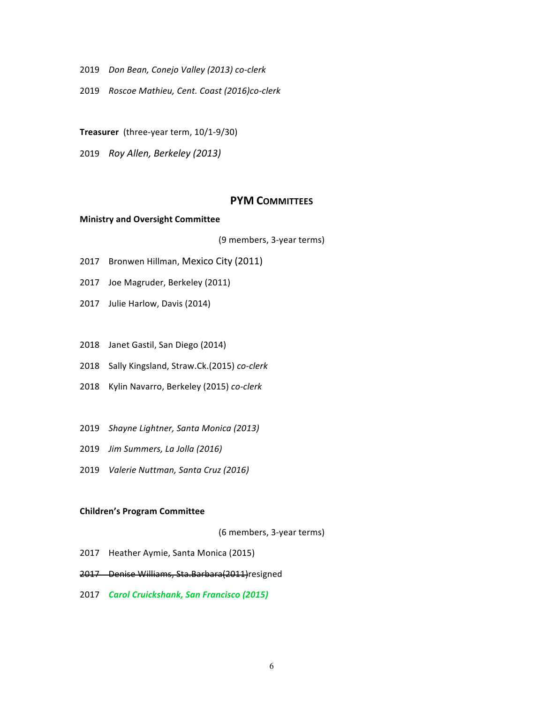- 2019 *Don Bean, Conejo Valley (2013) co-clerk*
- 2019 *Roscoe Mathieu, Cent. Coast (2016)co-clerk*
- **Treasurer** (three-year term, 10/1-9/30)
- 2019 *Roy Allen, Berkeley (2013)*

## **PYM COMMITTEES**

### **Ministry and Oversight Committee**

(9 members, 3-year terms)

- 2017 Bronwen Hillman, Mexico City (2011)
- 2017 Joe Magruder, Berkeley (2011)
- 2017 Julie Harlow, Davis (2014)
- 2018 Janet Gastil, San Diego (2014)
- 2018 Sally Kingsland, Straw.Ck.(2015) *co-clerk*
- 2018 Kylin Navarro, Berkeley (2015) *co-clerk*
- 2019 *Shayne Lightner, Santa Monica (2013)*
- 2019 *Jim Summers, La Jolla (2016)*
- 2019 *Valerie Nuttman, Santa Cruz (2016)*

#### **Children's Program Committee**

(6 members, 3-year terms)

- 2017 Heather Aymie, Santa Monica (2015)
- 2017 Denise Williams, Sta.Barbara(2011)resigned
- 2017 *Carol Cruickshank, San Francisco (2015)*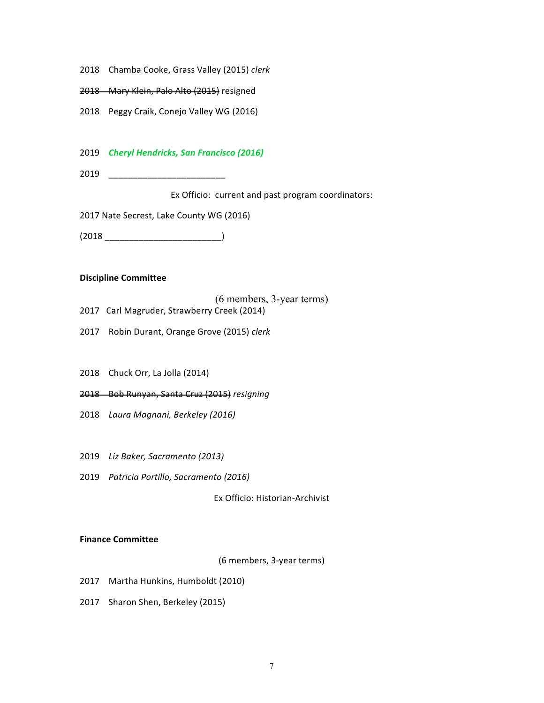- 2018 Chamba Cooke, Grass Valley (2015) clerk
- 2018 Mary Klein, Palo Alto (2015) resigned
- 2018 Peggy Craik, Conejo Valley WG (2016)
- 2019 *Cheryl Hendricks, San Francisco (2016)*
- 2019 \_\_\_\_\_\_\_\_\_\_\_\_\_\_\_\_\_\_\_\_\_\_\_\_

Ex Officio: current and past program coordinators:

2017 Nate Secrest, Lake County WG (2016)

(2018 \_\_\_\_\_\_\_\_\_\_\_\_\_\_\_\_\_\_\_\_\_\_\_\_)

### **Discipline Committee**

(6 members, 3-year terms)

- 2017 Carl Magruder, Strawberry Creek (2014)
- 2017 Robin Durant, Orange Grove (2015) *clerk*
- 2018 Chuck Orr, La Jolla (2014)
- 2018 Bob Runyan, Santa Cruz (2015) *resigning*
- 2018 Laura Magnani, Berkeley (2016)
- 2019 *Liz Baker, Sacramento (2013)*
- 2019 *Patricia Portillo, Sacramento (2016)*

Ex Officio: Historian-Archivist

#### **Finance Committee**

(6 members, 3-year terms)

- 2017 Martha Hunkins, Humboldt (2010)
- 2017 Sharon Shen, Berkeley (2015)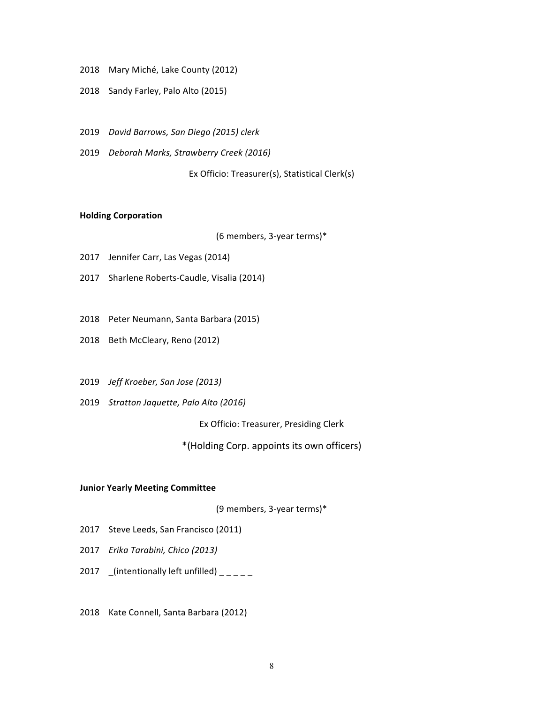- 2018 Mary Miché, Lake County (2012)
- 2018 Sandy Farley, Palo Alto (2015)
- 2019 *David Barrows, San Diego (2015) clerk*
- 2019 *Deborah Marks, Strawberry Creek (2016)*

Ex Officio: Treasurer(s), Statistical Clerk(s)

### **Holding Corporation**

(6 members, 3-year terms)\*

- 2017 Jennifer Carr, Las Vegas (2014)
- 2017 Sharlene Roberts-Caudle, Visalia (2014)
- 2018 Peter Neumann, Santa Barbara (2015)
- 2018 Beth McCleary, Reno (2012)
- 2019 *Jeff Kroeber, San Jose (2013)*
- 2019 *Stratton Jaquette, Palo Alto (2016)*

Ex Officio: Treasurer, Presiding Clerk

\*(Holding Corp. appoints its own officers)

#### **Junior Yearly Meeting Committee**

(9 members, 3-year terms)\*

- 2017 Steve Leeds, San Francisco (2011)
- 2017 *Erika Tarabini, Chico (2013)*
- 2017 \_(intentionally left unfilled)  $\frac{1}{2}$
- 2018 Kate Connell, Santa Barbara (2012)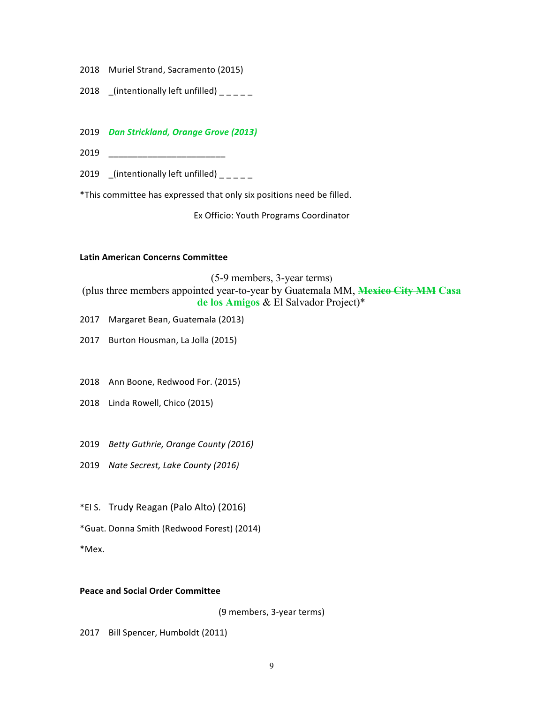- 2018 Muriel Strand, Sacramento (2015)
- 2018  $_{\text{intertionally left unfilled}}$

## 2019 *Dan Strickland, Orange Grove (2013)*

2019 \_\_\_\_\_\_\_\_\_\_\_\_\_\_\_\_\_\_\_\_\_\_\_\_

2019  $\left[$ (intentionally left unfilled)  $\left[$ 

\*This committee has expressed that only six positions need be filled.

Ex Officio: Youth Programs Coordinator

### **Latin American Concerns Committee**

(5-9 members, 3-year terms) (plus three members appointed year-to-year by Guatemala MM, Mexico City MM Casa de los Amigos & El Salvador Project)\*

2017 Margaret Bean, Guatemala (2013)

2017 Burton Housman, La Jolla (2015)

- 2018 Ann Boone, Redwood For. (2015)
- 2018 Linda Rowell, Chico (2015)
- 2019 *Betty Guthrie, Orange County (2016)*
- 2019 *Nate Secrest, Lake County (2016)*
- \*El S. Trudy Reagan (Palo Alto) (2016)
- \*Guat. Donna Smith (Redwood Forest) (2014)

\*Mex.

## **Peace and Social Order Committee**

(9 members, 3-year terms)

2017 Bill Spencer, Humboldt (2011)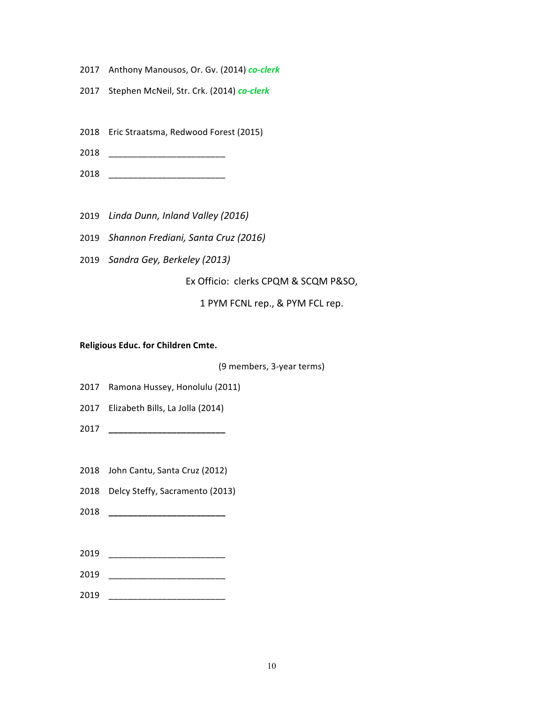- 2017 Anthony Manousos, Or. Gv. (2014) *co-clerk*
- 2017 Stephen McNeil, Str. Crk. (2014) *co-clerk*
- 2018 Eric Straatsma, Redwood Forest (2015)
- 2018 \_\_\_\_\_\_\_\_\_\_\_\_\_\_\_\_\_\_\_\_\_\_\_\_
- 2018 \_\_\_\_\_\_\_\_\_\_\_\_\_\_\_\_\_\_\_\_\_\_\_\_
- 2019 *Linda Dunn, Inland Valley (2016)*
- 2019 *Shannon Frediani, Santa Cruz (2016)*
- 2019 *Sandra Gey, Berkeley (2013)*

Ex Officio: clerks CPQM & SCQM P&SO,

1 PYM FCNL rep., & PYM FCL rep.

**Religious Educ. for Children Cmte.** 

(9 members, 3-year terms)

- 2017 Ramona Hussey, Honolulu (2011)
- 2017 Elizabeth Bills, La Jolla (2014)
- 2017 **\_\_\_\_\_\_\_\_\_\_\_\_\_\_\_\_\_\_\_\_\_\_\_\_**
- 2018 John Cantu, Santa Cruz (2012)

2018 Delcy Steffy, Sacramento (2013)

- 2018 **\_\_\_\_\_\_\_\_\_\_\_\_\_\_\_\_\_\_\_\_\_\_\_\_**
- 2019 \_\_\_\_\_\_\_\_\_\_\_\_\_\_\_\_\_\_\_\_\_\_\_\_
- 2019 \_\_\_\_\_\_\_\_\_\_\_\_\_\_\_\_\_\_\_\_\_\_\_\_
- 2019 \_\_\_\_\_\_\_\_\_\_\_\_\_\_\_\_\_\_\_\_\_\_\_\_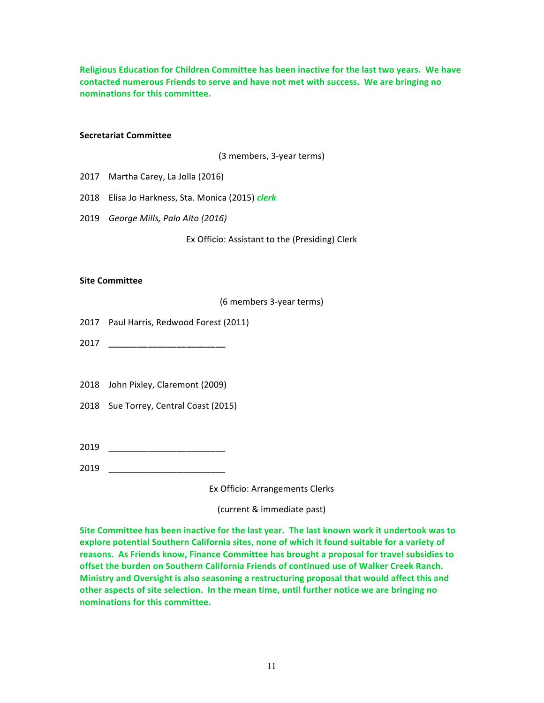**Religious Education for Children Committee has been inactive for the last two years. We have** contacted numerous Friends to serve and have not met with success. We are bringing no **nominations for this committee.**

#### **Secretariat Committee**

(3 members, 3-year terms)

- 2017 Martha Carey, La Jolla (2016)
- 2018 Elisa Jo Harkness, Sta. Monica (2015) *clerk*
- 2019 *George Mills, Palo Alto (2016)*

Ex Officio: Assistant to the (Presiding) Clerk

#### **Site Committee**

(6 members 3-year terms)

- 2017 Paul Harris, Redwood Forest (2011)
- 2017 **\_\_\_\_\_\_\_\_\_\_\_\_\_\_\_\_\_\_\_\_\_\_\_\_**
- 2018 John Pixley, Claremont (2009)
- 2018 Sue Torrey, Central Coast (2015)
- 2019 \_\_\_\_\_\_\_\_\_\_\_\_\_\_\_\_\_\_\_\_\_\_\_\_
- 2019 \_\_\_\_\_\_\_\_\_\_\_\_\_\_\_\_\_\_\_\_\_\_\_\_

Ex Officio: Arrangements Clerks 

(current & immediate past)

Site Committee has been inactive for the last year. The last known work it undertook was to explore potential Southern California sites, none of which it found suitable for a variety of reasons. As Friends know, Finance Committee has brought a proposal for travel subsidies to offset the burden on Southern California Friends of continued use of Walker Creek Ranch. Ministry and Oversight is also seasoning a restructuring proposal that would affect this and other aspects of site selection. In the mean time, until further notice we are bringing no **nominations for this committee.**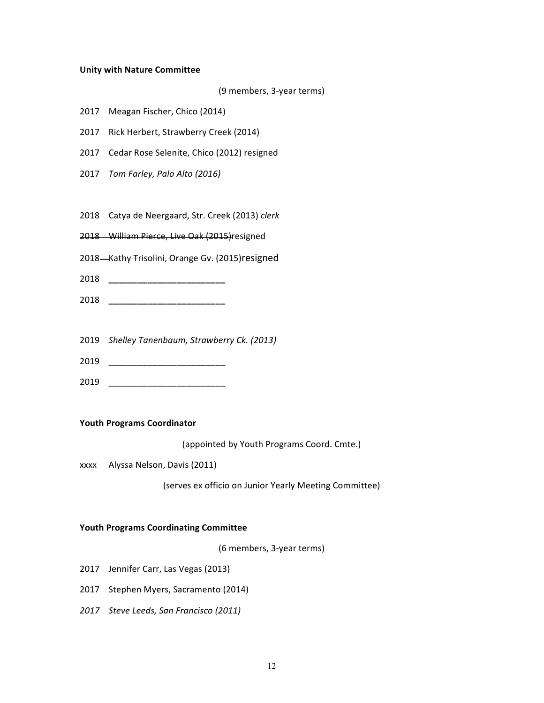#### **Unity with Nature Committee**

```
(9 members, 3-year terms)
```
- 2017 Meagan Fischer, Chico (2014)
- 2017 Rick Herbert, Strawberry Creek (2014)
- 2017 Cedar Rose Selenite, Chico (2012) resigned
- 2017 *Tom Farley, Palo Alto (2016)*
- 2018 Catya de Neergaard, Str. Creek (2013) clerk
- 2018 William Pierce, Live Oak (2015) resigned
- 2018 Kathy Trisolini, Orange Gv. (2015) resigned
- 2018 **\_\_\_\_\_\_\_\_\_\_\_\_\_\_\_\_\_\_\_\_\_\_\_\_**
- 2018 **\_\_\_\_\_\_\_\_\_\_\_\_\_\_\_\_\_\_\_\_\_\_\_\_**
- 2019 *Shelley Tanenbaum, Strawberry Ck. (2013)*
- 2019 \_\_\_\_\_\_\_\_\_\_\_\_\_\_\_\_\_\_\_\_\_\_\_\_
- 2019 \_\_\_\_\_\_\_\_\_\_\_\_\_\_\_\_\_\_\_\_\_\_\_\_

#### **Youth Programs Coordinator**

(appointed by Youth Programs Coord. Cmte.)

xxxx Alyssa Nelson, Davis (2011)

(serves ex officio on Junior Yearly Meeting Committee)

#### **Youth Programs Coordinating Committee**

(6 members, 3-year terms)

- 2017 Jennifer Carr, Las Vegas (2013)
- 2017 Stephen Myers, Sacramento (2014)
- *2017 Steve Leeds, San Francisco (2011)*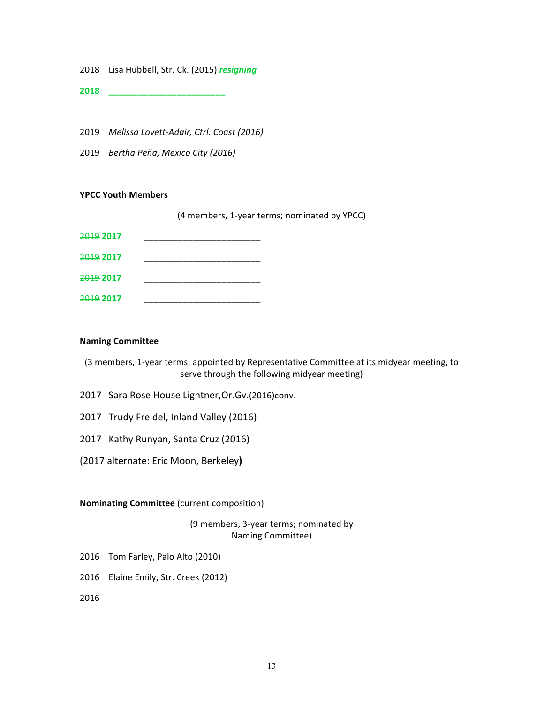- 2018 Lisa Hubbell, Str. Ck. (2015) *resigning*
- **2018 \_\_\_\_\_\_\_\_\_\_\_\_\_\_\_\_\_\_\_\_\_\_\_\_**
- 2019 Melissa Lovett-Adair, Ctrl. Coast (2016)
- 2019 *Bertha Peña, Mexico City (2016)*

#### **YPCC Youth Members**

(4 members, 1-year terms; nominated by YPCC)

| <del>2019</del> 2017 |  |
|----------------------|--|
| <del>2019</del> 2017 |  |
| <del>2019</del> 2017 |  |
| <del>2019</del> 2017 |  |

#### **Naming Committee**

(3 members, 1-year terms; appointed by Representative Committee at its midyear meeting, to serve through the following midyear meeting)

- 2017 Sara Rose House Lightner, Or. Gv. (2016)conv.
- 2017 Trudy Freidel, Inland Valley (2016)
- 2017 Kathy Runyan, Santa Cruz (2016)
- (2017 alternate: Eric Moon, Berkeley**)**

## **Nominating Committee** (current composition)

(9 members, 3-year terms; nominated by Naming Committee)

- 2016 Tom Farley, Palo Alto (2010)
- 2016 Elaine Emily, Str. Creek (2012)

2016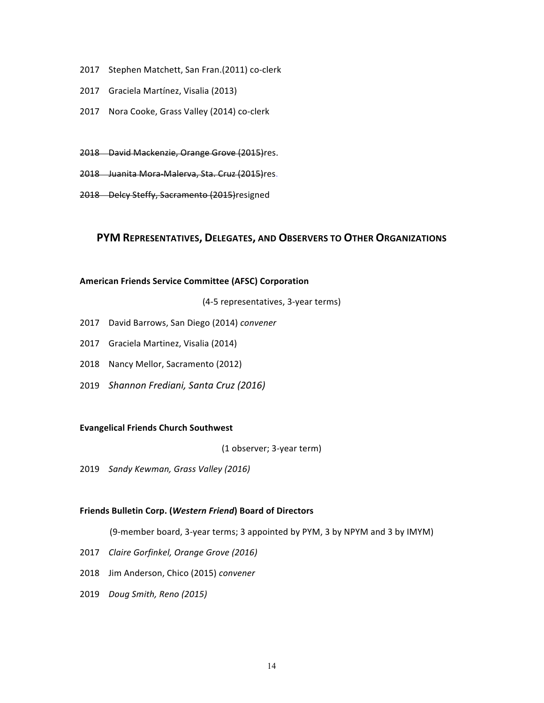- 2017 Stephen Matchett, San Fran.(2011) co-clerk
- 2017 Graciela Martínez, Visalia (2013)
- 2017 Nora Cooke, Grass Valley (2014) co-clerk
- 2018 David Mackenzie, Orange Grove (2015)res.
- 2018 Juanita Mora-Malerva, Sta. Cruz (2015)res.
- 2018 Delcy Steffy, Sacramento (2015) resigned

## **PYM REPRESENTATIVES, DELEGATES, AND OBSERVERS TO OTHER ORGANIZATIONS**

#### **American Friends Service Committee (AFSC) Corporation**

(4-5 representatives, 3-year terms)

- 2017 David Barrows, San Diego (2014) *convener*
- 2017 Graciela Martinez, Visalia (2014)
- 2018 Nancy Mellor, Sacramento (2012)
- 2019 *Shannon Frediani, Santa Cruz (2016)*

#### **Evangelical Friends Church Southwest**

(1 observer; 3-year term)

2019 *Sandy Kewman, Grass Valley (2016)* 

#### **Friends Bulletin Corp. (***Western Friend***) Board of Directors**

(9-member board, 3-year terms; 3 appointed by PYM, 3 by NPYM and 3 by IMYM)

- 2017 *Claire Gorfinkel, Orange Grove (2016)*
- 2018 Jim Anderson, Chico (2015) convener
- 2019 *Doug Smith, Reno (2015)*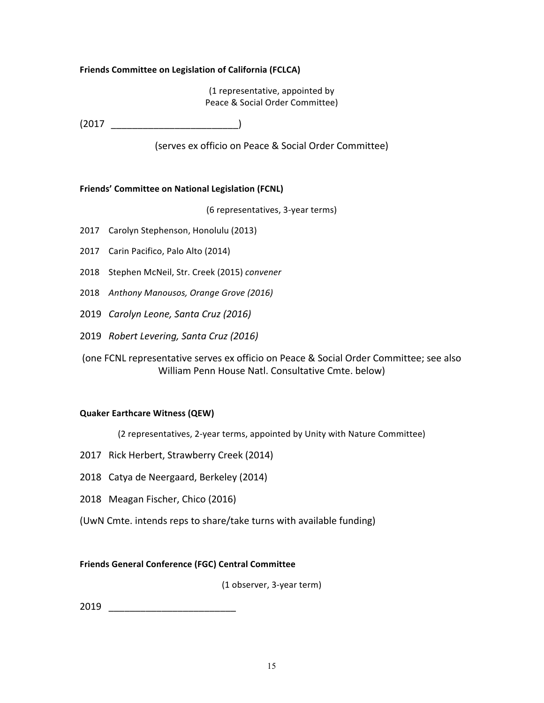## **Friends Committee on Legislation of California (FCLCA)**

(1 representative, appointed by Peace & Social Order Committee)

 $(2017$  )

(serves ex officio on Peace & Social Order Committee)

## **Friends' Committee on National Legislation (FCNL)**

(6 representatives, 3-year terms)

- 2017 Carolyn Stephenson, Honolulu (2013)
- 2017 Carin Pacifico, Palo Alto (2014)
- 2018 Stephen McNeil, Str. Creek (2015) convener
- 2018 Anthony Manousos, Orange Grove (2016)
- 2019 *Carolyn Leone, Santa Cruz (2016)*
- 2019 *Robert Levering, Santa Cruz (2016)*
- (one FCNL representative serves ex officio on Peace & Social Order Committee; see also William Penn House Natl. Consultative Cmte. below)

## **Quaker Earthcare Witness (QEW)**

(2 representatives, 2-year terms, appointed by Unity with Nature Committee)

- 2017 Rick Herbert, Strawberry Creek (2014)
- 2018 Catya de Neergaard, Berkeley (2014)
- 2018 Meagan Fischer, Chico (2016)
- (UwN Cmte. intends reps to share/take turns with available funding)

## **Friends General Conference (FGC) Central Committee**

(1 observer, 3-year term)

2019 \_\_\_\_\_\_\_\_\_\_\_\_\_\_\_\_\_\_\_\_\_\_\_\_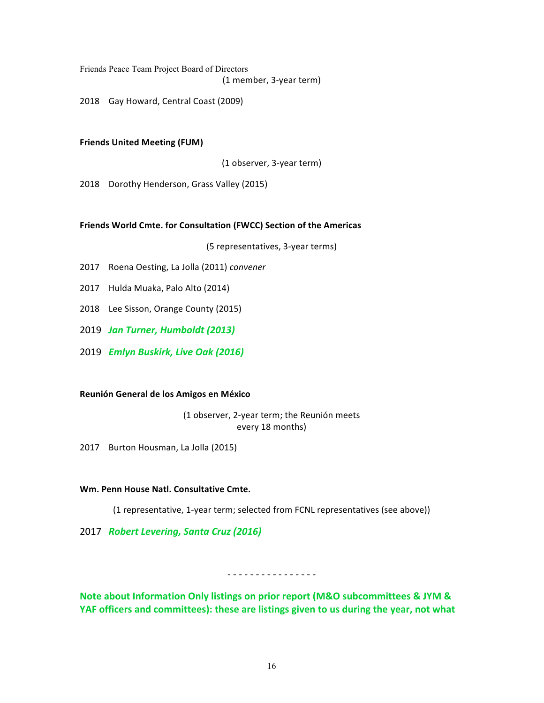Friends Peace Team Project Board of Directors

(1 member, 3-year term)

2018 Gay Howard, Central Coast (2009)

### **Friends United Meeting (FUM)**

(1 observer, 3-year term)

2018 Dorothy Henderson, Grass Valley (2015)

#### Friends World Cmte. for Consultation (FWCC) Section of the Americas

(5 representatives, 3-year terms)

- 2017 Roena Oesting, La Jolla (2011) *convener*
- 2017 Hulda Muaka, Palo Alto (2014)
- 2018 Lee Sisson, Orange County (2015)
- 2019 *Jan Turner, Humboldt (2013)*
- 2019 *Emlyn Buskirk, Live Oak (2016)*

### **Reunión General de los Amigos en México**

(1 observer, 2-year term; the Reunión meets every 18 months)

2017 Burton Housman, La Jolla (2015)

#### **Wm. Penn House Natl. Consultative Cmte.**

(1 representative, 1-year term; selected from FCNL representatives (see above))

2017 *Robert Levering, Santa Cruz (2016)* 

- - - - - - - - - - - - - - - -

**Note about Information Only listings on prior report (M&O subcommittees & JYM &** YAF officers and committees): these are listings given to us during the year, not what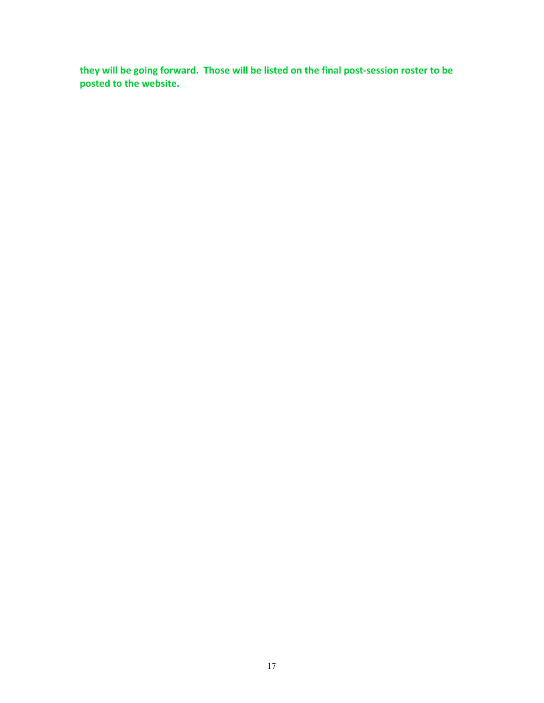they will be going forward. Those will be listed on the final post-session roster to be **posted to the website.**